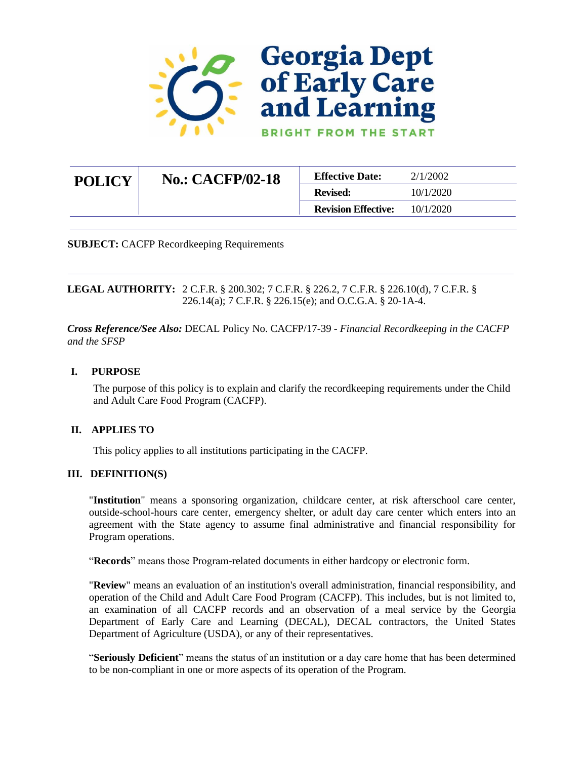

| <b>POLICY</b> | <b>No.: CACFP/02-18</b> | <b>Effective Date:</b>     | 2/1/2002  |
|---------------|-------------------------|----------------------------|-----------|
|               |                         | <b>Revised:</b>            | 10/1/2020 |
|               |                         | <b>Revision Effective:</b> | 10/1/2020 |

**SUBJECT:** CACFP Recordkeeping Requirements

**LEGAL AUTHORITY:** 2 C.F.R. § 200.302; 7 C.F.R. § 226.2, 7 C.F.R. § 226.10(d), 7 C.F.R. § 226.14(a); 7 C.F.R. § 226.15(e); and O.C.G.A. § 20-1A-4.

*Cross Reference/See Also:* DECAL Policy No. CACFP/17-39 - *Financial Recordkeeping in the CACFP and the SFSP*

#### **I. PURPOSE**

The purpose of this policy is to explain and clarify the recordkeeping requirements under the Child and Adult Care Food Program (CACFP).

#### **II. APPLIES TO**

This policy applies to all institutions participating in the CACFP.

#### **III. DEFINITION(S)**

"**Institution**" means a sponsoring organization, childcare center, at risk afterschool care center, outside-school-hours care center, emergency shelter, or adult day care center which enters into an agreement with the State agency to assume final administrative and financial responsibility for Program operations.

"**Records**" means those Program-related documents in either hardcopy or electronic form.

"**Review**" means an evaluation of an institution's overall administration, financial responsibility, and operation of the Child and Adult Care Food Program (CACFP). This includes, but is not limited to, an examination of all CACFP records and an observation of a meal service by the Georgia Department of Early Care and Learning (DECAL), DECAL contractors, the United States Department of Agriculture (USDA), or any of their representatives.

"**Seriously Deficient**" means the status of an institution or a day care home that has been determined to be non-compliant in one or more aspects of its operation of the Program.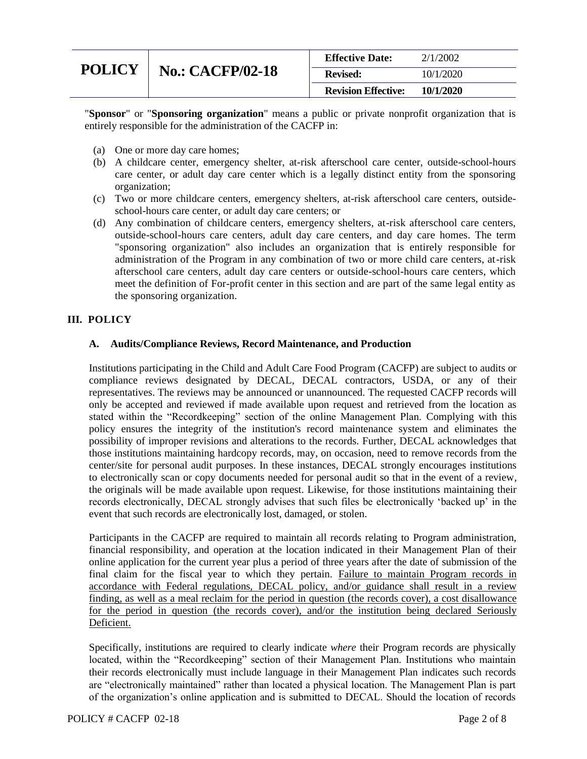|               |                         | <b>Effective Date:</b>     | 2/1/2002  |
|---------------|-------------------------|----------------------------|-----------|
| <b>POLICY</b> | <b>No.: CACFP/02-18</b> | <b>Revised:</b>            | 10/1/2020 |
|               |                         | <b>Revision Effective:</b> | 10/1/2020 |

"**Sponsor**" or "**Sponsoring organization**" means a public or private nonprofit organization that is entirely responsible for the administration of the CACFP in:

- (a) One or more day care homes;
- (b) A childcare center, emergency shelter, at-risk afterschool care center, outside-school-hours care center, or adult day care center which is a legally distinct entity from the sponsoring organization;
- (c) Two or more childcare centers, emergency shelters, at-risk afterschool care centers, outsideschool-hours care center, or adult day care centers; or
- (d) Any combination of childcare centers, emergency shelters, at-risk afterschool care centers, outside-school-hours care centers, adult day care centers, and day care homes. The term "sponsoring organization" also includes an organization that is entirely responsible for administration of the Program in any combination of two or more child care centers, at-risk afterschool care centers, adult day care centers or outside-school-hours care centers, which meet the definition of For-profit center in this section and are part of the same legal entity as the sponsoring organization.

#### **III. POLICY**

#### **A. Audits/Compliance Reviews, Record Maintenance, and Production**

Institutions participating in the Child and Adult Care Food Program (CACFP) are subject to audits or compliance reviews designated by DECAL, DECAL contractors, USDA, or any of their representatives. The reviews may be announced or unannounced. The requested CACFP records will only be accepted and reviewed if made available upon request and retrieved from the location as stated within the "Recordkeeping" section of the online Management Plan. Complying with this policy ensures the integrity of the institution's record maintenance system and eliminates the possibility of improper revisions and alterations to the records. Further, DECAL acknowledges that those institutions maintaining hardcopy records, may, on occasion, need to remove records from the center/site for personal audit purposes. In these instances, DECAL strongly encourages institutions to electronically scan or copy documents needed for personal audit so that in the event of a review, the originals will be made available upon request. Likewise, for those institutions maintaining their records electronically, DECAL strongly advises that such files be electronically 'backed up' in the event that such records are electronically lost, damaged, or stolen.

Participants in the CACFP are required to maintain all records relating to Program administration, financial responsibility, and operation at the location indicated in their Management Plan of their online application for the current year plus a period of three years after the date of submission of the final claim for the fiscal year to which they pertain. Failure to maintain Program records in accordance with Federal regulations, DECAL policy, and/or guidance shall result in a review finding, as well as a meal reclaim for the period in question (the records cover), a cost disallowance for the period in question (the records cover), and/or the institution being declared Seriously Deficient.

Specifically, institutions are required to clearly indicate *where* their Program records are physically located, within the "Recordkeeping" section of their Management Plan. Institutions who maintain their records electronically must include language in their Management Plan indicates such records are "electronically maintained" rather than located a physical location. The Management Plan is part of the organization's online application and is submitted to DECAL. Should the location of records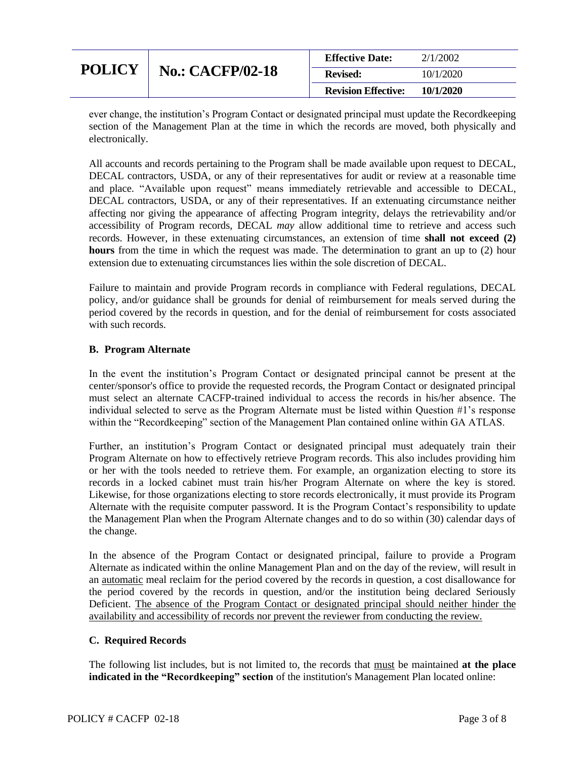|               |                         | <b>Effective Date:</b>     | 2/1/2002  |
|---------------|-------------------------|----------------------------|-----------|
| <b>POLICY</b> | <b>No.: CACFP/02-18</b> | <b>Revised:</b>            | 10/1/2020 |
|               |                         | <b>Revision Effective:</b> | 10/1/2020 |

ever change, the institution's Program Contact or designated principal must update the Recordkeeping section of the Management Plan at the time in which the records are moved, both physically and electronically.

All accounts and records pertaining to the Program shall be made available upon request to DECAL, DECAL contractors, USDA, or any of their representatives for audit or review at a reasonable time and place. "Available upon request" means immediately retrievable and accessible to DECAL, DECAL contractors, USDA, or any of their representatives. If an extenuating circumstance neither affecting nor giving the appearance of affecting Program integrity, delays the retrievability and/or accessibility of Program records, DECAL *may* allow additional time to retrieve and access such records. However, in these extenuating circumstances, an extension of time **shall not exceed (2) hours** from the time in which the request was made. The determination to grant an up to (2) hour extension due to extenuating circumstances lies within the sole discretion of DECAL.

Failure to maintain and provide Program records in compliance with Federal regulations, DECAL policy, and/or guidance shall be grounds for denial of reimbursement for meals served during the period covered by the records in question, and for the denial of reimbursement for costs associated with such records

### **B. Program Alternate**

In the event the institution's Program Contact or designated principal cannot be present at the center/sponsor's office to provide the requested records, the Program Contact or designated principal must select an alternate CACFP-trained individual to access the records in his/her absence. The individual selected to serve as the Program Alternate must be listed within Question #1's response within the "Recordkeeping" section of the Management Plan contained online within GA ATLAS.

Further, an institution's Program Contact or designated principal must adequately train their Program Alternate on how to effectively retrieve Program records. This also includes providing him or her with the tools needed to retrieve them. For example, an organization electing to store its records in a locked cabinet must train his/her Program Alternate on where the key is stored. Likewise, for those organizations electing to store records electronically, it must provide its Program Alternate with the requisite computer password. It is the Program Contact's responsibility to update the Management Plan when the Program Alternate changes and to do so within (30) calendar days of the change.

In the absence of the Program Contact or designated principal, failure to provide a Program Alternate as indicated within the online Management Plan and on the day of the review, will result in an automatic meal reclaim for the period covered by the records in question, a cost disallowance for the period covered by the records in question, and/or the institution being declared Seriously Deficient. The absence of the Program Contact or designated principal should neither hinder the availability and accessibility of records nor prevent the reviewer from conducting the review.

#### **C. Required Records**

The following list includes, but is not limited to, the records that must be maintained **at the place indicated in the "Recordkeeping" section** of the institution's Management Plan located online: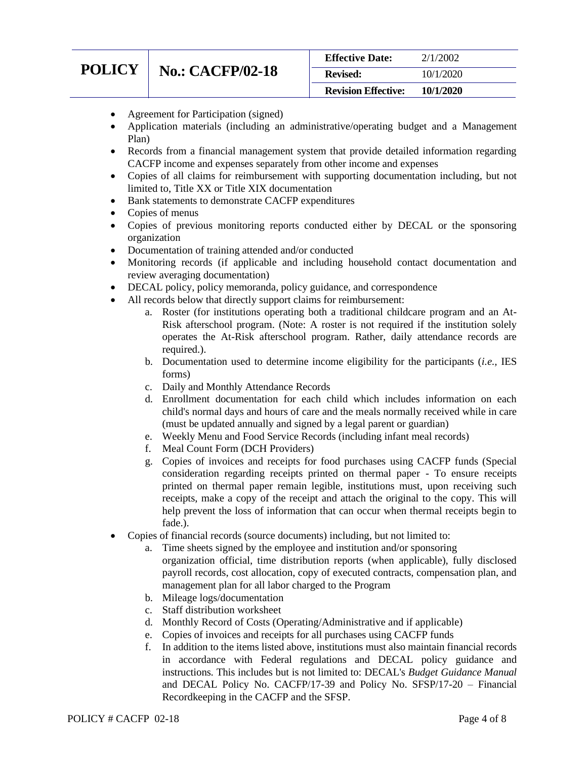# **POLICY** N

| <b>No.: CACFP/02-18</b> |
|-------------------------|
|                         |

| <b>Revision Effective:</b> | 10/1/2020 |
|----------------------------|-----------|
| <b>Revised:</b>            | 10/1/2020 |
| <b>Effective Date:</b>     | 2/1/2002  |

- Agreement for Participation (signed)
- Application materials (including an administrative/operating budget and a Management Plan)
- Records from a financial management system that provide detailed information regarding CACFP income and expenses separately from other income and expenses
- Copies of all claims for reimbursement with supporting documentation including, but not limited to, Title XX or Title XIX documentation
- Bank statements to demonstrate CACFP expenditures
- Copies of menus
- Copies of previous monitoring reports conducted either by DECAL or the sponsoring organization
- Documentation of training attended and/or conducted
- Monitoring records (if applicable and including household contact documentation and review averaging documentation)
- DECAL policy, policy memoranda, policy guidance, and correspondence
- All records below that directly support claims for reimbursement:
	- a. Roster (for institutions operating both a traditional childcare program and an At-Risk afterschool program. (Note: A roster is not required if the institution solely operates the At-Risk afterschool program. Rather, daily attendance records are required.).
	- b. Documentation used to determine income eligibility for the participants (*i.e.,* IES forms)
	- c. Daily and Monthly Attendance Records
	- d. Enrollment documentation for each child which includes information on each child's normal days and hours of care and the meals normally received while in care (must be updated annually and signed by a legal parent or guardian)
	- e. Weekly Menu and Food Service Records (including infant meal records)
	- f. Meal Count Form (DCH Providers)
	- g. Copies of invoices and receipts for food purchases using CACFP funds (Special consideration regarding receipts printed on thermal paper - To ensure receipts printed on thermal paper remain legible, institutions must, upon receiving such receipts, make a copy of the receipt and attach the original to the copy. This will help prevent the loss of information that can occur when thermal receipts begin to fade.).
- Copies of financial records (source documents) including, but not limited to:
	- a. Time sheets signed by the employee and institution and/or sponsoring organization official, time distribution reports (when applicable), fully disclosed payroll records, cost allocation, copy of executed contracts, compensation plan, and management plan for all labor charged to the Program
	- b. Mileage logs/documentation
	- c. Staff distribution worksheet
	- d. Monthly Record of Costs (Operating/Administrative and if applicable)
	- e. Copies of invoices and receipts for all purchases using CACFP funds
	- f. In addition to the items listed above, institutions must also maintain financial records in accordance with Federal regulations and DECAL policy guidance and instructions. This includes but is not limited to: DECAL's *Budget Guidance Manual* and DECAL Policy No. CACFP/17-39 and Policy No. SFSP/17-20 – Financial Recordkeeping in the CACFP and the SFSP.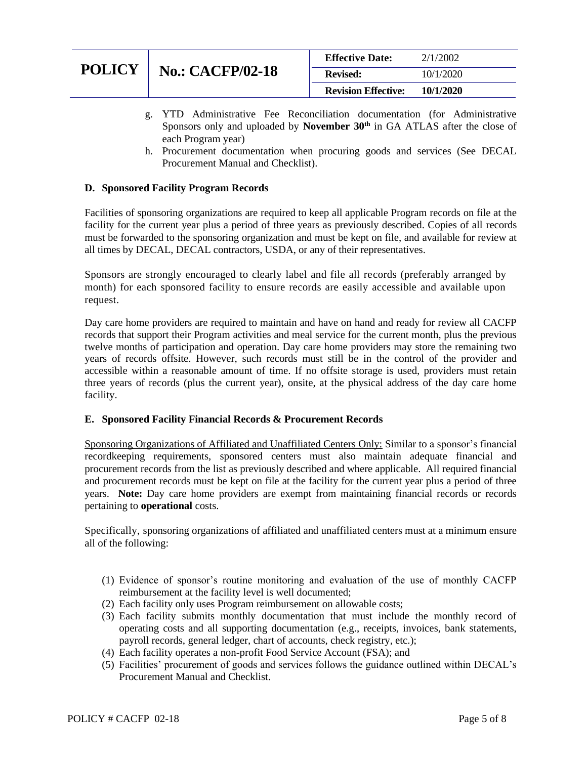|               |                         | <b>Effective Date:</b>     | 2/1/2002  |
|---------------|-------------------------|----------------------------|-----------|
| <b>POLICY</b> | <b>No.: CACFP/02-18</b> | <b>Revised:</b>            | 10/1/2020 |
|               |                         | <b>Revision Effective:</b> | 10/1/2020 |

- g. YTD Administrative Fee Reconciliation documentation (for Administrative Sponsors only and uploaded by **November 30th** in GA ATLAS after the close of each Program year)
- h. Procurement documentation when procuring goods and services (See DECAL Procurement Manual and Checklist).

#### **D. Sponsored Facility Program Records**

Facilities of sponsoring organizations are required to keep all applicable Program records on file at the facility for the current year plus a period of three years as previously described. Copies of all records must be forwarded to the sponsoring organization and must be kept on file, and available for review at all times by DECAL, DECAL contractors, USDA, or any of their representatives.

Sponsors are strongly encouraged to clearly label and file all records (preferably arranged by month) for each sponsored facility to ensure records are easily accessible and available upon request.

Day care home providers are required to maintain and have on hand and ready for review all CACFP records that support their Program activities and meal service for the current month, plus the previous twelve months of participation and operation. Day care home providers may store the remaining two years of records offsite. However, such records must still be in the control of the provider and accessible within a reasonable amount of time. If no offsite storage is used, providers must retain three years of records (plus the current year), onsite, at the physical address of the day care home facility.

#### **E. Sponsored Facility Financial Records & Procurement Records**

Sponsoring Organizations of Affiliated and Unaffiliated Centers Only: Similar to a sponsor's financial recordkeeping requirements, sponsored centers must also maintain adequate financial and procurement records from the list as previously described and where applicable. All required financial and procurement records must be kept on file at the facility for the current year plus a period of three years. **Note:** Day care home providers are exempt from maintaining financial records or records pertaining to **operational** costs.

Specifically, sponsoring organizations of affiliated and unaffiliated centers must at a minimum ensure all of the following:

- (1) Evidence of sponsor's routine monitoring and evaluation of the use of monthly CACFP reimbursement at the facility level is well documented;
- (2) Each facility only uses Program reimbursement on allowable costs;
- (3) Each facility submits monthly documentation that must include the monthly record of operating costs and all supporting documentation (e.g., receipts, invoices, bank statements, payroll records, general ledger, chart of accounts, check registry, etc.);
- (4) Each facility operates a non-profit Food Service Account (FSA); and
- (5) Facilities' procurement of goods and services follows the guidance outlined within DECAL's Procurement Manual and Checklist.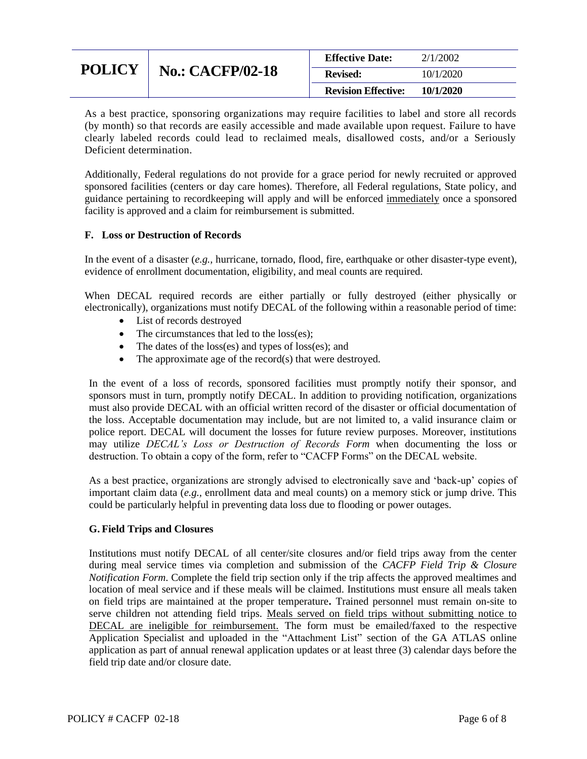| <b>POLICY</b> | <b>No.: CACFP/02-18</b> | <b>Effective Date:</b>     | 2/1/2002  |
|---------------|-------------------------|----------------------------|-----------|
|               |                         | <b>Revised:</b>            | 10/1/2020 |
|               |                         | <b>Revision Effective:</b> | 10/1/2020 |

As a best practice, sponsoring organizations may require facilities to label and store all records (by month) so that records are easily accessible and made available upon request. Failure to have clearly labeled records could lead to reclaimed meals, disallowed costs, and/or a Seriously Deficient determination.

Additionally, Federal regulations do not provide for a grace period for newly recruited or approved sponsored facilities (centers or day care homes). Therefore, all Federal regulations, State policy, and guidance pertaining to recordkeeping will apply and will be enforced immediately once a sponsored facility is approved and a claim for reimbursement is submitted.

#### **F. Loss or Destruction of Records**

In the event of a disaster (*e.g.,* hurricane, tornado, flood, fire, earthquake or other disaster-type event), evidence of enrollment documentation, eligibility, and meal counts are required.

When DECAL required records are either partially or fully destroyed (either physically or electronically), organizations must notify DECAL of the following within a reasonable period of time:

- List of records destroyed
- The circumstances that led to the loss(es);
- The dates of the loss(es) and types of loss(es); and
- The approximate age of the record(s) that were destroyed.

In the event of a loss of records, sponsored facilities must promptly notify their sponsor, and sponsors must in turn, promptly notify DECAL. In addition to providing notification, organizations must also provide DECAL with an official written record of the disaster or official documentation of the loss. Acceptable documentation may include, but are not limited to, a valid insurance claim or police report. DECAL will document the losses for future review purposes. Moreover, institutions may utilize *DECAL's Loss or Destruction of Records Form* when documenting the loss or destruction. To obtain a copy of the form, refer to "CACFP Forms" on the DECAL website.

As a best practice, organizations are strongly advised to electronically save and 'back-up' copies of important claim data (*e.g.,* enrollment data and meal counts) on a memory stick or jump drive. This could be particularly helpful in preventing data loss due to flooding or power outages.

#### **G. Field Trips and Closures**

Institutions must notify DECAL of all center/site closures and/or field trips away from the center during meal service times via completion and submission of the *CACFP Field Trip & Closure Notification Form*. Complete the field trip section only if the trip affects the approved mealtimes and location of meal service and if these meals will be claimed. Institutions must ensure all meals taken on field trips are maintained at the proper temperature**.** Trained personnel must remain on-site to serve children not attending field trips. Meals served on field trips without submitting notice to DECAL are ineligible for reimbursement. The form must be emailed/faxed to the respective Application Specialist and uploaded in the "Attachment List" section of the GA ATLAS online application as part of annual renewal application updates or at least three (3) calendar days before the field trip date and/or closure date.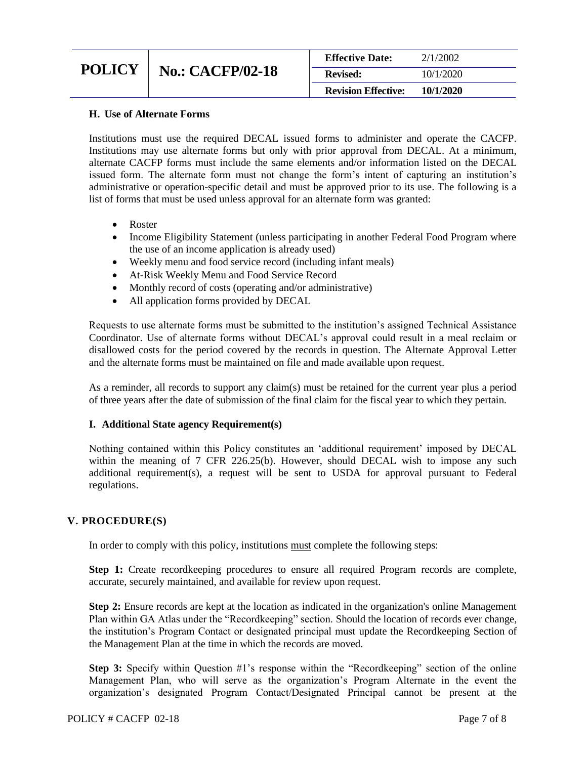| <b>Revision Effective:</b> | 10/1/2020 |
|----------------------------|-----------|
| <b>Revised:</b>            | 10/1/2020 |
| <b>Effective Date:</b>     | 2/1/2002  |

### **H. Use of Alternate Forms**

Institutions must use the required DECAL issued forms to administer and operate the CACFP. Institutions may use alternate forms but only with prior approval from DECAL. At a minimum, alternate CACFP forms must include the same elements and/or information listed on the DECAL issued form. The alternate form must not change the form's intent of capturing an institution's administrative or operation-specific detail and must be approved prior to its use. The following is a list of forms that must be used unless approval for an alternate form was granted:

- Roster
- Income Eligibility Statement (unless participating in another Federal Food Program where the use of an income application is already used)
- Weekly menu and food service record (including infant meals)
- At-Risk Weekly Menu and Food Service Record
- Monthly record of costs (operating and/or administrative)
- All application forms provided by DECAL

Requests to use alternate forms must be submitted to the institution's assigned Technical Assistance Coordinator. Use of alternate forms without DECAL's approval could result in a meal reclaim or disallowed costs for the period covered by the records in question. The Alternate Approval Letter and the alternate forms must be maintained on file and made available upon request.

As a reminder, all records to support any claim(s) must be retained for the current year plus a period of three years after the date of submission of the final claim for the fiscal year to which they pertain.

#### **I. Additional State agency Requirement(s)**

Nothing contained within this Policy constitutes an 'additional requirement' imposed by DECAL within the meaning of 7 CFR 226.25(b). However, should DECAL wish to impose any such additional requirement(s), a request will be sent to USDA for approval pursuant to Federal regulations.

#### **V. PROCEDURE(S)**

In order to comply with this policy, institutions must complete the following steps:

**Step 1:** Create recordkeeping procedures to ensure all required Program records are complete, accurate, securely maintained, and available for review upon request.

**Step 2:** Ensure records are kept at the location as indicated in the organization's online Management Plan within GA Atlas under the "Recordkeeping" section. Should the location of records ever change, the institution's Program Contact or designated principal must update the Recordkeeping Section of the Management Plan at the time in which the records are moved.

**Step 3:** Specify within Question #1's response within the "Recordkeeping" section of the online Management Plan, who will serve as the organization's Program Alternate in the event the organization's designated Program Contact/Designated Principal cannot be present at the